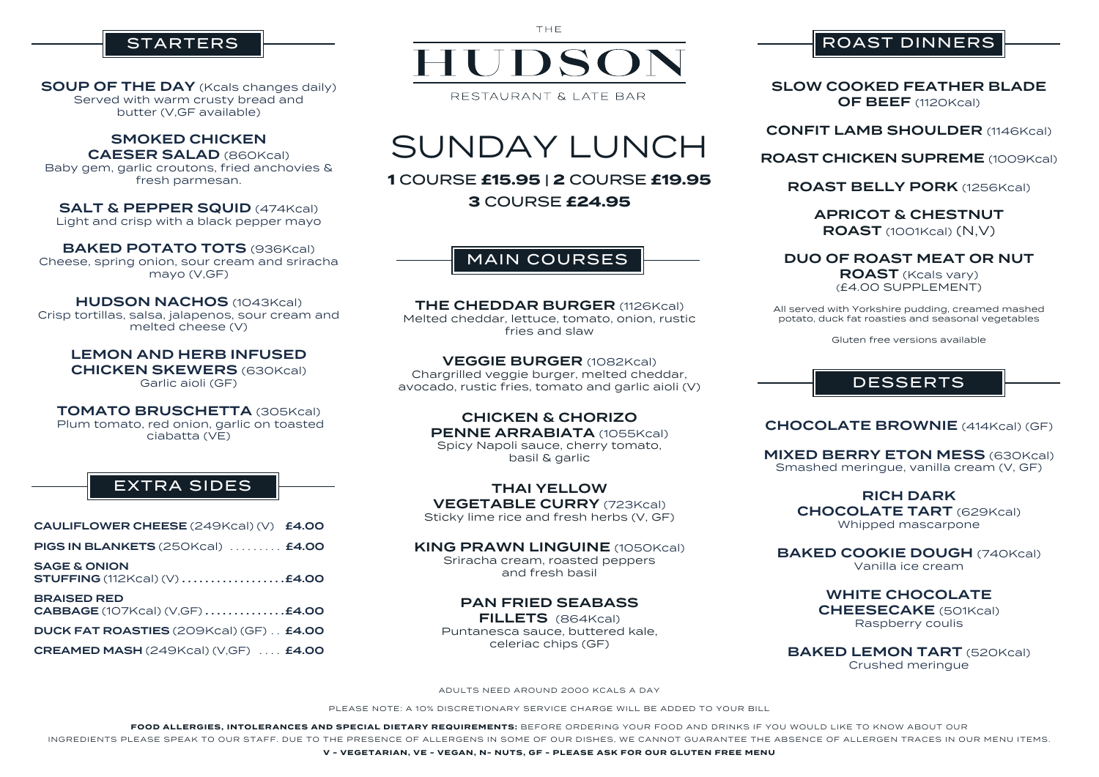SAGE & ONION **STUFFING** (112Kcal) (V) ...................**£4.00** 

BRAISED RED CABBAGE (107Kcal) (V,GF) . . . . . . . . . . . . . .£4.00

DUCK FAT ROASTIES (209Kcal) (GF) . . £4.00

CREAMED MASH (249Kcal) (V,GF) . . . . £4.00



ADULTS NEED AROUND 2000 KCALS A DAY

PLEASE NOTE: A 10% DISCRETIONARY SERVICE CHARGE WILL BE ADDED TO YOUR BILL

## **STARTERS**

SOUP OF THE DAY (Kcals changes daily) Served with warm crusty bread and butter (V,GF available)

SALT & PEPPER SQUID (474Kcal) Light and crisp with a black pepper mayo

**FOOD ALLERGIES, INTOLERANCES AND SPECIAL DIETARY REQUIREMENTS:** BEFORE ORDERING YOUR FOOD AND DRINKS IF YOU WOULD LIKE TO KNOW ABOUT OUR INGREDIENTS PLEASE SPEAK TO OUR STAFF. DUE TO THE PRESENCE OF ALLERGENS IN SOME OF OUR DISHES, WE CANNOT GUARANTEE THE ABSENCE OF ALLERGEN TRACES IN OUR MENU ITEMS.

BAKED POTATO TOTS (936Kcal) Cheese, spring onion, sour cream and sriracha mayo (V,GF)

#### **HUDSON NACHOS (1043Kcal)**

**V - VEGETARIAN, VE - VEGAN, N- NUTS, GF - PLEASE ASK FOR OUR GLUTEN FREE MENU**



THE

THE CHEDDAR BURGER (1126Kcal) Melted cheddar, lettuce, tomato, onion, rustic fries and slaw

SUNDAY LUNCH

**1** COURSE **£15.95** | **2** COURSE **£19.95**

**3** COURSE **£24.95**

KING PRAWN LINGUINE (1050Kcal) Sriracha cream, roasted peppers

#### SMOKED CHICKEN

CAESER SALAD (860Kcal) Baby gem, garlic croutons, fried anchovies &

#### SLOW COOKED FEATHER BLADE OF BEEF (1120Kcal)

## **CONFIT LAMB SHOULDER (1146Kcal)**

### ROAST CHICKEN SUPREME (1009Kcal)

fresh parmesan.

APRICOT & CHESTNUT ROAST (1001Kcal) (N,V)

**MIXED BERRY ETON MESS (630Kcal)** Smashed meringue, vanilla cream (V, GF)

Crisp tortillas, salsa, jalapenos, sour cream and melted cheese (V)

> BAKED COOKIE DOUGH (740Kcal) Vanilla ice cream

LEMON AND HERB INFUSED CHICKEN SKEWERS (630Kcal) Garlic aioli (GF)

> **BAKED LEMON TART (520Kcal)** Crushed meringue

TOMATO BRUSCHETTA (305Kcal) Plum tomato, red onion, garlic on toasted ciabatta (VE)

VEGGIE BURGER (1082Kcal) Chargrilled veggie burger, melted cheddar, avocado, rustic fries, tomato and garlic aioli (V)

> CHICKEN & CHORIZO PENNE ARRABIATA (1055Kcal) Spicy Napoli sauce, cherry tomato, basil & garlic

THAI YELLOW VEGETABLE CURRY (723Kcal) Sticky lime rice and fresh herbs (V, GF)

and fresh basil

PAN FRIED SEABASS FILLETS (864Kcal) Puntanesca sauce, buttered kale, celeriac chips (GF)

**CHOCOLATE BROWNIE** (414Kcal) (GF)

ROAST BELLY PORK (1256Kcal)

DUO OF ROAST MEAT OR NUT ROAST (Kcals vary) (£4.00 SUPPLEMENT)

All served with Yorkshire pudding, creamed mashed potato, duck fat roasties and seasonal vegetables

Gluten free versions available

RICH DARK CHOCOLATE TART (629Kcal) Whipped mascarpone

WHITE CHOCOLATE CHEESECAKE (501Kcal) Raspberry coulis

MAIN COURSES

# EXTRA SIDES

CAULIFLOWER CHEESE (249Kcal) (V) £4.00

**PIGS IN BLANKETS** (250Kcal) ........ **£4.00** 

## ROAST DINNERS

## DESSERTS